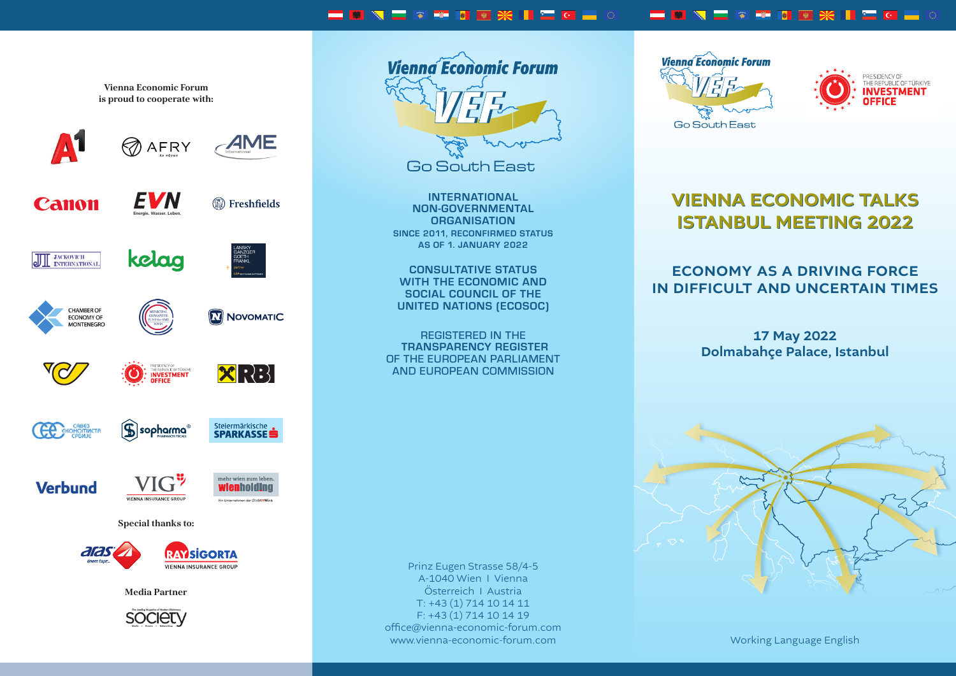#### **IMNICATION XIII**O **\_\_\_\_\_\_\_\_\_\_**

**Vienna Economic Forum is proud to cooperate with:**

**AME AFRY ZN** 

kelag



**W** Freshfields **Energie. Wasser. Leben.**

**NOVOMATIC** 

Steiermärkische<br>**SPARKASSE** 



braucht man





**MONTENEGRO** 





PRESIDENCY OF<br>THE REPUBLIC OF TURKLY<br>**INVESTMENT XRB** 

**S CA EKOHOMMCTI** 



Inserat\_IR\_Cent\_148,5x210\_RZ.indd 1 03.02.2021 09:16:26







 $|$ sopharma $^\circ$ 

VIENNA INSURANCE GROUP

**Media Partner**





**INTERNATIONAL NON-GOVERNMENTAL ORGANISATION SINCE 2011, RECONFIRMED STATUS AS OF 1. JANUARY 2022**

**CONSULTATIVE STATUS WITH THE ECONOMIC AND SOCIAL COUNCIL OF THE UNITED NATIONS (ECOSOC)**

REGISTERED IN THE  **TRANSPARENCY REGISTER** OF THE EUROPEAN PARLIAMENT AND EUROPEAN COMMISSION

Prinz Eugen Strasse 58/4-5 A-1040 Wien I Vienna Österreich I Austria T: +43 (1) 714 10 14 11 F: +43 (1) 714 10 14 19 office@vienna-economic-forum.com www.vienna-economic-forum.com Working Language English





# VIENNA ECONOMIC TALKS VIENNA ECONOMIC TALKS ISTANBUL MEETING 2022 ISTANBUL MEETING 2022

# ECONOMY AS A DRIVING FORCE IN DIFFICULT AND UNCERTAIN TIMES

17 May 2022 Dolmabahçe Palace, Istanbul